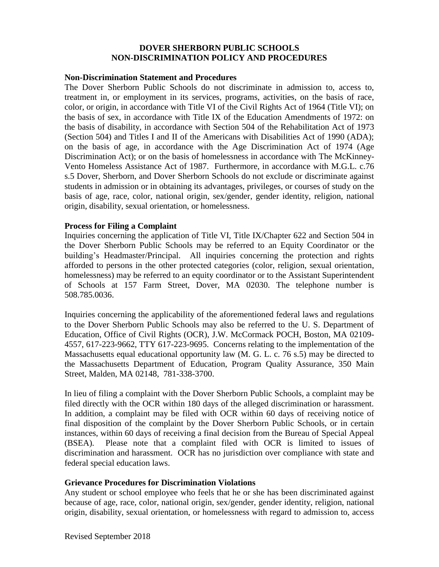## **DOVER SHERBORN PUBLIC SCHOOLS NON-DISCRIMINATION POLICY AND PROCEDURES**

### **Non-Discrimination Statement and Procedures**

The Dover Sherborn Public Schools do not discriminate in admission to, access to, treatment in, or employment in its services, programs, activities, on the basis of race, color, or origin, in accordance with Title VI of the Civil Rights Act of 1964 (Title VI); on the basis of sex, in accordance with Title IX of the Education Amendments of 1972: on the basis of disability, in accordance with Section 504 of the Rehabilitation Act of 1973 (Section 504) and Titles I and II of the Americans with Disabilities Act of 1990 (ADA); on the basis of age, in accordance with the Age Discrimination Act of 1974 (Age Discrimination Act); or on the basis of homelessness in accordance with The McKinney-Vento Homeless Assistance Act of 1987. Furthermore, in accordance with M.G.L. c.76 s.5 Dover, Sherborn, and Dover Sherborn Schools do not exclude or discriminate against students in admission or in obtaining its advantages, privileges, or courses of study on the basis of age, race, color, national origin, sex/gender, gender identity, religion, national origin, disability, sexual orientation, or homelessness.

## **Process for Filing a Complaint**

Inquiries concerning the application of Title VI, Title IX/Chapter 622 and Section 504 in the Dover Sherborn Public Schools may be referred to an Equity Coordinator or the building's Headmaster/Principal. All inquiries concerning the protection and rights afforded to persons in the other protected categories (color, religion, sexual orientation, homelessness) may be referred to an equity coordinator or to the Assistant Superintendent of Schools at 157 Farm Street, Dover, MA 02030. The telephone number is 508.785.0036.

Inquiries concerning the applicability of the aforementioned federal laws and regulations to the Dover Sherborn Public Schools may also be referred to the U. S. Department of Education, Office of Civil Rights (OCR), J.W. McCormack POCH, Boston, MA 02109- 4557, 617-223-9662, TTY 617-223-9695. Concerns relating to the implementation of the Massachusetts equal educational opportunity law (M. G. L. c. 76 s.5) may be directed to the Massachusetts Department of Education, Program Quality Assurance, 350 Main Street, Malden, MA 02148, 781-338-3700.

In lieu of filing a complaint with the Dover Sherborn Public Schools, a complaint may be filed directly with the OCR within 180 days of the alleged discrimination or harassment. In addition, a complaint may be filed with OCR within 60 days of receiving notice of final disposition of the complaint by the Dover Sherborn Public Schools, or in certain instances, within 60 days of receiving a final decision from the Bureau of Special Appeal (BSEA). Please note that a complaint filed with OCR is limited to issues of discrimination and harassment. OCR has no jurisdiction over compliance with state and federal special education laws.

## **Grievance Procedures for Discrimination Violations**

Any student or school employee who feels that he or she has been discriminated against because of age, race, color, national origin, sex/gender, gender identity, religion, national origin, disability, sexual orientation, or homelessness with regard to admission to, access